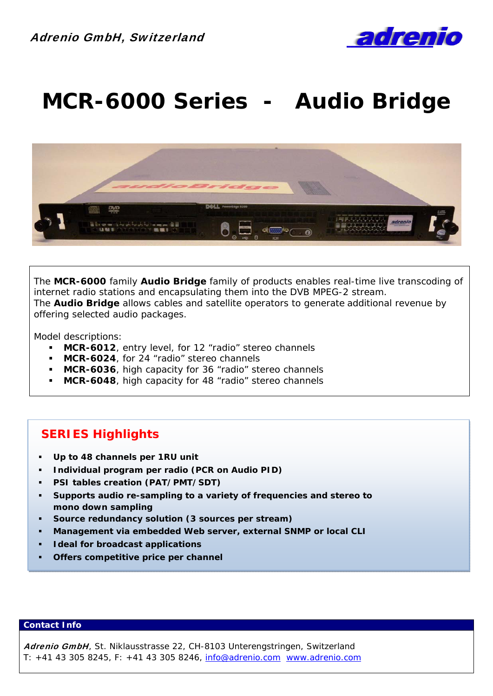

# **MCR-6000 Series - Audio Bridge**



The **MCR-6000** family *Audio Bridge* family of products enables real-time live transcoding of internet radio stations and encapsulating them into the DVB MPEG-2 stream. The *Audio Bridge* allows cables and satellite operators to generate additional revenue by offering selected audio packages.

Model descriptions:

- **MCR-6012**, entry level, for 12 "radio" stereo channels
- **MCR-6024**, for 24 "radio" stereo channels
- **MCR-6036**, high capacity for 36 "radio" stereo channels
- **MCR-6048**, high capacity for 48 "radio" stereo channels

### **SERIES Highlights**

- **Up to 48 channels per 1RU unit**
- **Individual program per radio (PCR on Audio PID)**
- **PSI tables creation (PAT/PMT/SDT)**
- **Supports audio re-sampling to a variety of frequencies and stereo to mono down sampling**
- **Source redundancy solution (3 sources per stream)**
- **Management via embedded Web server, external SNMP or local CLI**
- **Ideal for broadcast applications**
- **Offers competitive price per channel**

### **Contact Info**

Adrenio GmbH, St. Niklausstrasse 22, CH-8103 Unterengstringen, Switzerland T: +41 43 305 8245, F: +41 43 305 8246, info@adrenio.com www.adrenio.com